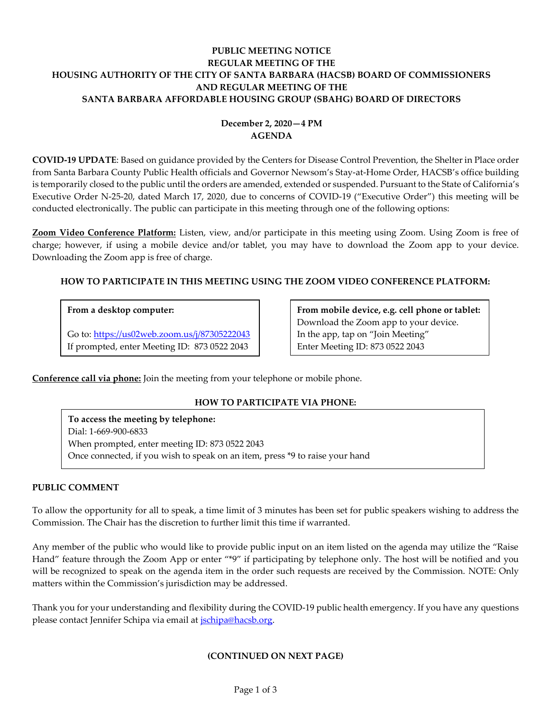# **PUBLIC MEETING NOTICE REGULAR MEETING OF THE HOUSING AUTHORITY OF THE CITY OF SANTA BARBARA (HACSB) BOARD OF COMMISSIONERS AND REGULAR MEETING OF THE SANTA BARBARA AFFORDABLE HOUSING GROUP (SBAHG) BOARD OF DIRECTORS**

# **December 2, 2020—4 PM AGENDA**

**COVID-19 UPDATE**: Based on guidance provided by the Centers for Disease Control Prevention, the Shelter in Place order from Santa Barbara County Public Health officials and Governor Newsom's Stay-at-Home Order, HACSB's office building is temporarily closed to the public until the orders are amended, extended or suspended. Pursuant to the State of California's Executive Order N-25-20, dated March 17, 2020, due to concerns of COVID-19 ("Executive Order") this meeting will be conducted electronically. The public can participate in this meeting through one of the following options:

**Zoom Video Conference Platform:** Listen, view, and/or participate in this meeting using Zoom. Using Zoom is free of charge; however, if using a mobile device and/or tablet, you may have to download the Zoom app to your device. Downloading the Zoom app is free of charge.

# **HOW TO PARTICIPATE IN THIS MEETING USING THE ZOOM VIDEO CONFERENCE PLATFORM:**

# **From a desktop computer:**

Go to:<https://us02web.zoom.us/j/87305222043> If prompted, enter Meeting ID: 873 0522 2043

**From mobile device, e.g. cell phone or tablet:** Download the Zoom app to your device. In the app, tap on "Join Meeting" Enter Meeting ID: 873 0522 2043

**Conference call via phone:** Join the meeting from your telephone or mobile phone.

# **HOW TO PARTICIPATE VIA PHONE:**

**To access the meeting by telephone:** Dial: 1-669-900-6833 When prompted, enter meeting ID: 873 0522 2043 Once connected, if you wish to speak on an item, press \*9 to raise your hand

## **PUBLIC COMMENT**

To allow the opportunity for all to speak, a time limit of 3 minutes has been set for public speakers wishing to address the Commission. The Chair has the discretion to further limit this time if warranted.

Any member of the public who would like to provide public input on an item listed on the agenda may utilize the "Raise Hand" feature through the Zoom App or enter "\*9" if participating by telephone only. The host will be notified and you will be recognized to speak on the agenda item in the order such requests are received by the Commission. NOTE: Only matters within the Commission's jurisdiction may be addressed.

Thank you for your understanding and flexibility during the COVID-19 public health emergency. If you have any questions please contact Jennifer Schipa via email at *jschipa@hacsb.org*.

# **(CONTINUED ON NEXT PAGE)**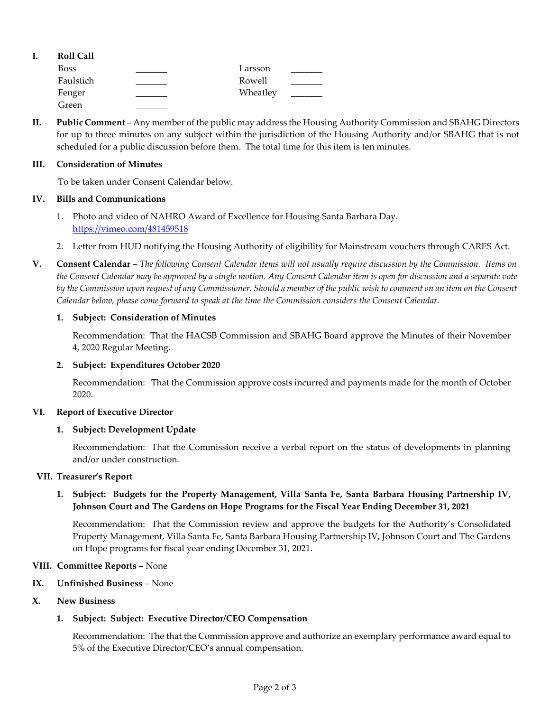| <b>Roll Call</b> |          |  |
|------------------|----------|--|
| <b>Boss</b>      | Larsson  |  |
| Faulstich        | Rowell   |  |
| Fenger           | Wheatley |  |
| Green            |          |  |

**II. Public Comment** – Any member of the public may address the Housing Authority Commission and SBAHG Directors for up to three minutes on any subject within the jurisdiction of the Housing Authority and/or SBAHG that is not scheduled for a public discussion before them. The total time for this item is ten minutes.

### **III. Consideration of Minutes**

To be taken under Consent Calendar below.

### **IV. Bills and Communications**

- 1. Photo and video [of NAHRO Award of Excellence for Housing Santa Barbara Day.](https://hacsb.org/download/meetings_2020/items/12_december/Item-IV.1.pdf) <https://vimeo.com/481459518>
- 2. [Letter from HUD notifying the Housing Authority of eligibility for Mainstream vouchers through CARES Act.](https://hacsb.org/download/meetings_2020/items/12_december/Item-IV.2.pdf)
- **V. Consent Calendar** *The following Consent Calendar items will not usually require discussion by the Commission. Items on the Consent Calendar may be approved by a single motion. Any Consent Calendar item is open for discussion and a separate vote by the Commission upon request of any Commissioner. Should a member of the public wish to comment on an item on the Consent Calendar below, please come forward to speak at the time the Commission considers the Consent Calendar.*

### **1. Subject: Consideration of Minutes**

Recommendation: That the HACSB Commission [and SBAHG Board approve the Minutes of their November](https://hacsb.org/download/meetings_2020/items/12_december/Item-V.1.pdf)  4, 2020 Regular Meeting.

## **2. Subject: Expenditures October 2020**

[Recommendation: That the Commission approve costs incurred and payments made for the month of October](https://hacsb.org/download/meetings_2020/items/12_december/Item-V.2.pdf) 2020.

#### **VI. Report of Executive Director**

## **1. Subject: Development Update**

Recommendation: That the Commission receive a verbal report on the status of developments in planning and/or under construction.

#### **VII. Treasurer's Report**

# **1. [Subject: Budgets for the Property Management, Villa Santa Fe, Santa Barbara Housing Partnership IV,](https://hacsb.org/download/meetings_2020/items/12_december/Item-VII.1.pdf)  Johnson Court and The Gardens on Hope Programs for the Fiscal Year Ending December 31, 2021**

Recommendation: That the Commission review and approve the budgets for the Authority's Consolidated Property Management, Villa Santa Fe, Santa Barbara Housing Partnership IV, Johnson Court and The Gardens on Hope programs for fiscal year ending December 31, 2021.

## **VIII. Committee Reports** – None

**IX. Unfinished Business** – None

## **X. New Business**

## **1. Subject: Subject: Executive Director/CEO Compensation**

Recommendation: The that the Commission approve and authorize an exemplary performance award equal to 5% of the Executive Director/CEO's annual compensation.